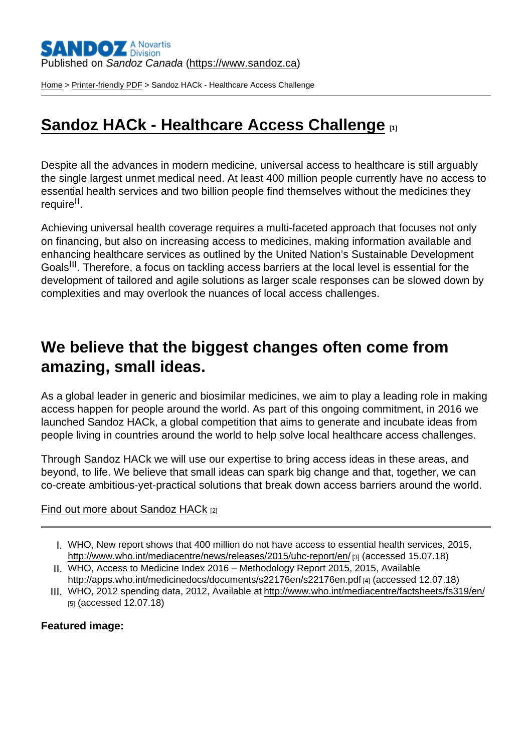Published on Sandoz Canada [\(https://www.sandoz.ca](https://www.sandoz.ca))

[Home](https://www.sandoz.ca/en) > [Printer-friendly PDF](https://www.sandoz.ca/en/printpdf) > Sandoz HACk - Healthcare Access Challenge

# [Sandoz HACk - Healthcare Access Challenge](https://www.sandoz.ca/en/sandoz-hack-healthcare-access-challenge) [1]

Despite all the advances in modern medicine, universal access to healthcare is still arguably the single largest unmet medical need. At least 400 million people currently have no access to essential health services and two billion people find themselves without the medicines they require<sup>II</sup>.

Achieving universal health coverage requires a multi-faceted approach that focuses not only on financing, but also on increasing access to medicines, making information available and enhancing healthcare services as outlined by the United Nation's Sustainable Development Goals<sup>III</sup>. Therefore, a focus on tackling access barriers at the local level is essential for the development of tailored and agile solutions as larger scale responses can be slowed down by complexities and may overlook the nuances of local access challenges.

## We believe that the biggest changes often come from amazing, small ideas.

As a global leader in generic and biosimilar medicines, we aim to play a leading role in making access happen for people around the world. As part of this ongoing commitment, in 2016 we launched Sandoz HACk, a global competition that aims to generate and incubate ideas from people living in countries around the world to help solve local healthcare access challenges.

Through Sandoz HACk we will use our expertise to bring access ideas in these areas, and beyond, to life. We believe that small ideas can spark big change and that, together, we can co-create ambitious-yet-practical solutions that break down access barriers around the world.

#### [Find out more about Sandoz HACk](https://www.sandoz.com/making-access-happen/sandoz-hack-healthcare-access-challenge) [2]

- I. WHO, New report shows that 400 million do not have access to essential health services, 2015, <http://www.who.int/mediacentre/news/releases/2015/uhc-report/en/> [3] (accessed 15.07.18)
- II. WHO, Access to Medicine Index 2016 Methodology Report 2015, 2015, Available <http://apps.who.int/medicinedocs/documents/s22176en/s22176en.pdf> [4] (accessed 12.07.18)
- III. WHO, 2012 spending data, 2012, Available at<http://www.who.int/mediacentre/factsheets/fs319/en/> [5] (accessed 12.07.18)

Featured image :